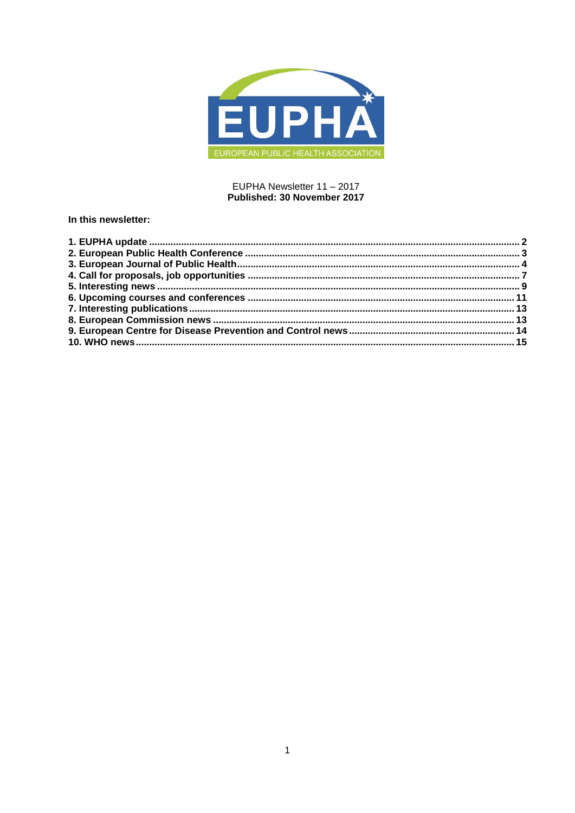

#### EUPHA Newsletter 11 - 2017 Published: 30 November 2017

## In this newsletter: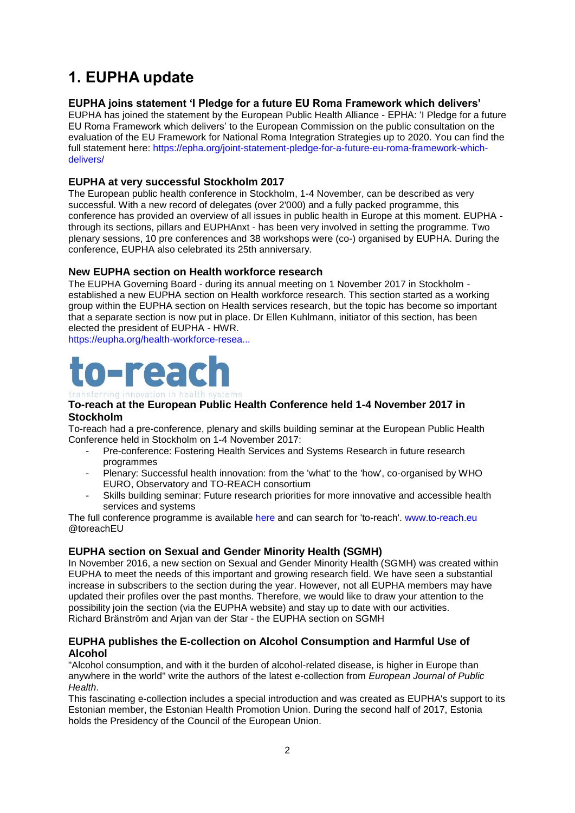# <span id="page-1-0"></span>**1. EUPHA update**

## **EUPHA joins statement 'I Pledge for a future EU Roma Framework which delivers'**

EUPHA has joined the statement by the European Public Health Alliance - EPHA: ‗I Pledge for a future EU Roma Framework which delivers' to the European Commission on the public consultation on the evaluation of the EU Framework for National Roma Integration Strategies up to 2020. You can find the full statement here: [https://epha.org/joint-statement-pledge-for-a-future-eu-roma-framework-which](https://epha.org/joint-statement-pledge-for-a-future-eu-roma-framework-which-delivers/)[delivers/](https://epha.org/joint-statement-pledge-for-a-future-eu-roma-framework-which-delivers/)

## **EUPHA at very successful Stockholm 2017**

The European public health conference in Stockholm, 1-4 November, can be described as very successful. With a new record of delegates (over 2'000) and a fully packed programme, this conference has provided an overview of all issues in public health in Europe at this moment. EUPHA through its sections, pillars and EUPHAnxt - has been very involved in setting the programme. Two plenary sessions, 10 pre conferences and 38 workshops were (co-) organised by EUPHA. During the conference, EUPHA also celebrated its 25th anniversary.

## **New EUPHA section on Health workforce research**

The EUPHA Governing Board - during its annual meeting on 1 November 2017 in Stockholm established a new EUPHA section on Health workforce research. This section started as a working group within the EUPHA section on Health services research, but the topic has become so important that a separate section is now put in place. Dr Ellen Kuhlmann, initiator of this section, has been elected the president of EUPHA - HWR.

[https://eupha.org/health-workforce-resea...](https://eupha.org/health-workforce-research)

# n-read

# transferring innovation in health

#### **To-reach at the European Public Health Conference held 1-4 November 2017 in Stockholm**

To-reach had a pre-conference, plenary and skills building seminar at the European Public Health Conference held in Stockholm on 1-4 November 2017:

- Pre-conference: Fostering Health Services and Systems Research in future research programmes
- Plenary: Successful health innovation: from the 'what' to the 'how', co-organised by WHO EURO, Observatory and TO-REACH consortium
- Skills building seminar: Future research priorities for more innovative and accessible health services and systems

The full conference programme is available [here](https://ephconference.eu/app/programme/programme.php) and can search for 'to-reach'. [www.to-reach.eu](http://www.to-reach.eu/) @toreachEU

# **EUPHA section on Sexual and Gender Minority Health (SGMH)**

In November 2016, a new section on Sexual and Gender Minority Health (SGMH) was created within EUPHA to meet the needs of this important and growing research field. We have seen a substantial increase in subscribers to the section during the year. However, not all EUPHA members may have updated their profiles over the past months. Therefore, we would like to draw your attention to the possibility join the section (via the EUPHA website) and stay up to date with our activities. Richard Bränström and Arjan van der Star - the EUPHA section on SGMH

## **EUPHA publishes the E-collection on Alcohol Consumption and Harmful Use of Alcohol**

"Alcohol consumption, and with it the burden of alcohol-related disease, is higher in Europe than anywhere in the world" write the authors of the latest e-collection from *European Journal of Public Health*.

This fascinating e-collection includes a special introduction and was created as EUPHA's support to its Estonian member, the Estonian Health Promotion Union. During the second half of 2017, Estonia holds the Presidency of the Council of the European Union.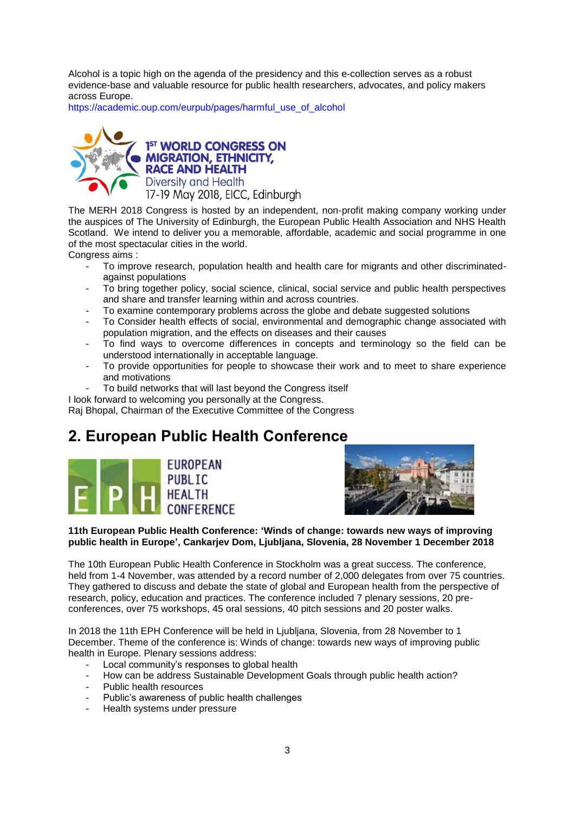Alcohol is a topic high on the agenda of the presidency and this e-collection serves as a robust evidence-base and valuable resource for public health researchers, advocates, and policy makers across Europe.

[https://academic.oup.com/eurpub/pages/harmful\\_use\\_of\\_alcohol](https://academic.oup.com/eurpub/pages/harmful_use_of_alcohol)



1<sup>ST</sup> WORLD CONGRESS ON **MIGRATION, ETHNICITY, RACE AND HEALTH** Diversity and Health 17-19 May 2018, EICC, Edinburgh

The MERH 2018 Congress is hosted by an independent, non-profit making company working under the auspices of The University of Edinburgh, the European Public Health Association and NHS Health Scotland. We intend to deliver you a memorable, affordable, academic and social programme in one of the most spectacular cities in the world.

Congress aims :

- To improve research, population health and health care for migrants and other discriminatedagainst populations
- To bring together policy, social science, clinical, social service and public health perspectives and share and transfer learning within and across countries.
- To examine contemporary problems across the globe and debate suggested solutions
- To Consider health effects of social, environmental and demographic change associated with population migration, and the effects on diseases and their causes
- To find ways to overcome differences in concepts and terminology so the field can be understood internationally in acceptable language.
- To provide opportunities for people to showcase their work and to meet to share experience and motivations
- To build networks that will last beyond the Congress itself

I look forward to welcoming you personally at the Congress.

Raj Bhopal, Chairman of the Executive Committee of the Congress

# <span id="page-2-0"></span>**2. European Public Health Conference**





## **11th European Public Health Conference: 'Winds of change: towards new ways of improving public health in Europe', Cankarjev Dom, Ljubljana, Slovenia, 28 November 1 December 2018**

The 10th European Public Health Conference in Stockholm was a great success. The conference, held from 1-4 November, was attended by a record number of 2,000 delegates from over 75 countries. They gathered to discuss and debate the state of global and European health from the perspective of research, policy, education and practices. The conference included 7 plenary sessions, 20 preconferences, over 75 workshops, 45 oral sessions, 40 pitch sessions and 20 poster walks.

In 2018 the 11th EPH Conference will be held in Ljubljana, Slovenia, from 28 November to 1 December. Theme of the conference is: Winds of change: towards new ways of improving public health in Europe. Plenary sessions address:

- Local community's responses to global health
- How can be address Sustainable Development Goals through public health action?
- Public health resources
- Public's awareness of public health challenges
- Health systems under pressure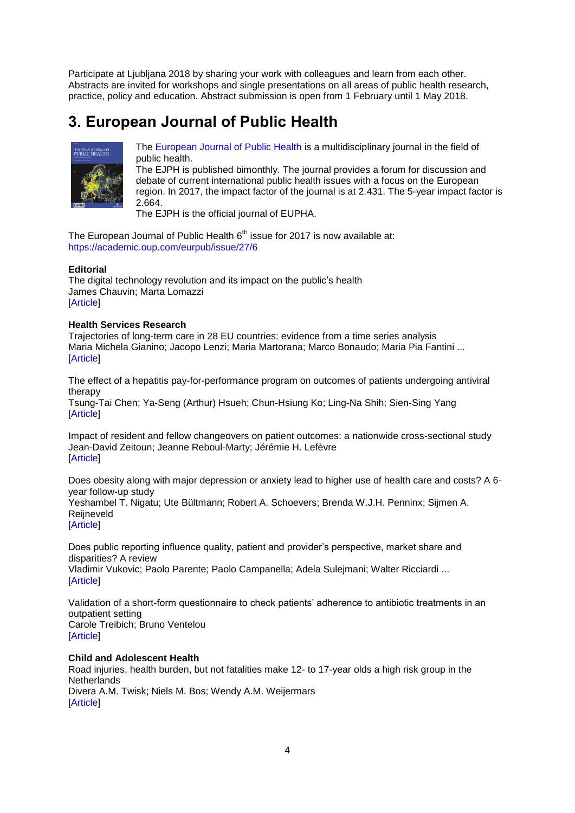Participate at Ljubljana 2018 by sharing your work with colleagues and learn from each other. Abstracts are invited for workshops and single presentations on all areas of public health research, practice, policy and education. Abstract submission is open from 1 February until 1 May 2018.

# <span id="page-3-0"></span>**3. European Journal of Public Health**



[The European Journal of Public Health](http://eurpub.oxfordjournals.org/) is a multidisciplinary journal in the field of public health.

The EJPH is published bimonthly. The journal provides a forum for discussion and debate of current international public health issues with a focus on the European region. In 2017, the impact factor of the journal is at 2.431. The 5-year impact factor is 2.664.

The EJPH is the official journal of EUPHA.

The European Journal of Public Health  $6<sup>th</sup>$  issue for 2017 is now available at: <https://academic.oup.com/eurpub/issue/27/6>

#### **Editorial**

[The digital technology revolution and its impact on the public's health](https://academic.oup.com/eurpub/article/27/6/947/4562484) [James Chauvin;](https://academic.oup.com/eurpub/search-results?f_Authors=James+Chauvin) [Marta Lomazzi](https://academic.oup.com/eurpub/search-results?f_Authors=Marta+Lomazzi) [\[Article\]](https://doi.org/10.1093/eurpub/ckx134)

#### **Health Services Research**

[Trajectories of long-term care in 28 EU countries: evidence from a time series analysis](https://academic.oup.com/eurpub/article/27/6/948/4557561) [Maria Michela Gianino;](https://academic.oup.com/eurpub/search-results?f_Authors=Maria+Michela+Gianino) [Jacopo Lenzi;](https://academic.oup.com/eurpub/search-results?f_Authors=Jacopo+Lenzi) [Maria Martorana;](https://academic.oup.com/eurpub/search-results?f_Authors=Maria+Martorana) [Marco Bonaudo;](https://academic.oup.com/eurpub/search-results?f_Authors=Marco+Bonaudo) [Maria Pia Fantini](https://academic.oup.com/eurpub/search-results?f_Authors=Maria+Pia+Fantini) ... [\[Article\]](https://doi.org/10.1093/eurpub/ckx177)

[The effect of a hepatitis pay-for-performance program on outcomes of patients undergoing antiviral](https://academic.oup.com/eurpub/article/27/6/955/4092870)  [therapy](https://academic.oup.com/eurpub/article/27/6/955/4092870)

[Tsung-Tai Chen;](https://academic.oup.com/eurpub/search-results?f_Authors=Tsung-Tai+Chen) [Ya-Seng \(Arthur\) Hsueh;](https://academic.oup.com/eurpub/search-results?f_Authors=Ya-Seng+(Arthur)+Hsueh) [Chun-Hsiung Ko;](https://academic.oup.com/eurpub/search-results?f_Authors=Chun-Hsiung+Ko) [Ling-Na Shih;](https://academic.oup.com/eurpub/search-results?f_Authors=Ling-Na+Shih) [Sien-Sing Yang](https://academic.oup.com/eurpub/search-results?f_Authors=Sien-Sing+Yang) [\[Article\]](https://doi.org/10.1093/eurpub/ckx114)

[Impact of resident and fellow changeovers on patient outcomes: a nationwide cross-sectional study](https://academic.oup.com/eurpub/article/27/6/960/3854996) [Jean-David Zeitoun;](https://academic.oup.com/eurpub/search-results?f_Authors=Jean-David+Zeitoun) [Jeanne Reboul-Marty;](https://academic.oup.com/eurpub/search-results?f_Authors=Jeanne+Reboul-Marty) [Jérémie H. Lefèvre](https://academic.oup.com/eurpub/search-results?f_Authors=J%c3%a9r%c3%a9mie+H.+Lef%c3%a8vre) [\[Article\]](https://doi.org/10.1093/eurpub/ckx072)

[Does obesity along with major depression or anxiety lead to higher use of health care and costs? A 6](https://academic.oup.com/eurpub/article/27/6/965/4111227) [year follow-up study](https://academic.oup.com/eurpub/article/27/6/965/4111227) [Yeshambel T. Nigatu;](https://academic.oup.com/eurpub/search-results?f_Authors=Yeshambel+T.+Nigatu) [Ute Bültmann;](https://academic.oup.com/eurpub/search-results?f_Authors=Ute+B%c3%bcltmann) [Robert A. Schoevers;](https://academic.oup.com/eurpub/search-results?f_Authors=Robert+A.+Schoevers) [Brenda W.J.H. Penninx;](https://academic.oup.com/eurpub/search-results?f_Authors=Brenda+W.J.H.+Penninx) [Sijmen A.](https://academic.oup.com/eurpub/search-results?f_Authors=Sijmen+A.+Reijneveld)  [Reijneveld](https://academic.oup.com/eurpub/search-results?f_Authors=Sijmen+A.+Reijneveld) [\[Article\]](https://doi.org/10.1093/eurpub/ckx126)

[Does public reporting influence quality, patient and provider's perspective, market share and](https://academic.oup.com/eurpub/article/27/6/972/4653117)  [disparities? A review](https://academic.oup.com/eurpub/article/27/6/972/4653117) [Vladimir Vukovic;](https://academic.oup.com/eurpub/search-results?f_Authors=Vladimir+Vukovic) [Paolo Parente;](https://academic.oup.com/eurpub/search-results?f_Authors=Paolo+Parente) [Paolo Campanella;](https://academic.oup.com/eurpub/search-results?f_Authors=Paolo+Campanella) [Adela Sulejmani;](https://academic.oup.com/eurpub/search-results?f_Authors=Adela+Sulejmani) [Walter Ricciardi](https://academic.oup.com/eurpub/search-results?f_Authors=Walter+Ricciardi) ... **[\[Article\]](https://doi.org/10.1093/eurpub/ckx145)** 

[Validation of a short-form questionnaire to check patients' adherence to antibiotic treatments in an](https://academic.oup.com/eurpub/article/27/6/978/4563655)  [outpatient setting](https://academic.oup.com/eurpub/article/27/6/978/4563655) [Carole Treibich;](https://academic.oup.com/eurpub/search-results?f_Authors=Carole+Treibich) [Bruno Ventelou](https://academic.oup.com/eurpub/search-results?f_Authors=Bruno+Ventelou) [\[Article\]](https://doi.org/10.1093/eurpub/ckx146)

#### **Child and Adolescent Health**

[Road injuries, health burden, but not fatalities make 12-](https://academic.oup.com/eurpub/article/27/6/981/3603401) to 17-year olds a high risk group in the **[Netherlands](https://academic.oup.com/eurpub/article/27/6/981/3603401)** [Divera A.M. Twisk;](https://academic.oup.com/eurpub/search-results?f_Authors=Divera+A.M.+Twisk) [Niels M. Bos;](https://academic.oup.com/eurpub/search-results?f_Authors=Niels+M.+Bos) [Wendy A.M. Weijermars](https://academic.oup.com/eurpub/search-results?f_Authors=Wendy+A.M.+Weijermars) [\[Article\]](https://doi.org/10.1093/eurpub/ckx045)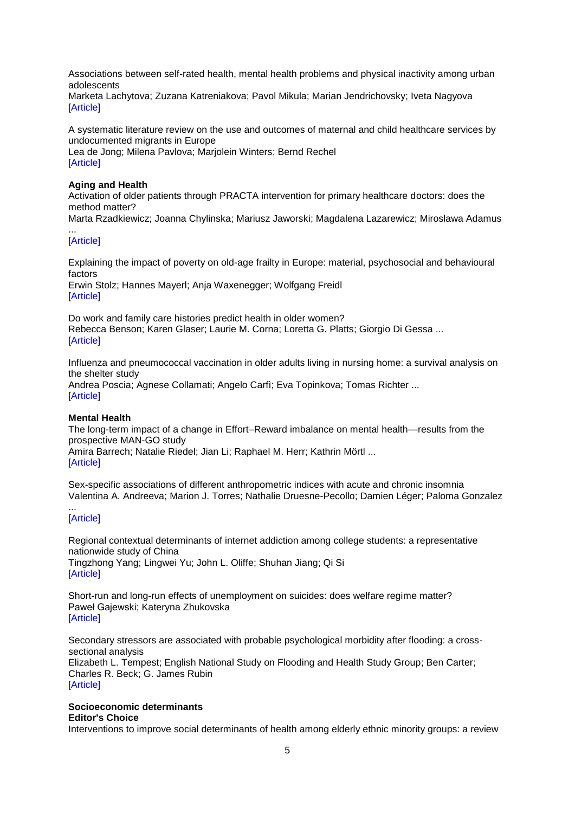[Associations between self-rated health, mental health problems and physical inactivity among urban](https://academic.oup.com/eurpub/article/27/6/984/3806840)  [adolescents](https://academic.oup.com/eurpub/article/27/6/984/3806840)

[Marketa Lachytova;](https://academic.oup.com/eurpub/search-results?f_Authors=Marketa+Lachytova) [Zuzana Katreniakova;](https://academic.oup.com/eurpub/search-results?f_Authors=Zuzana+Katreniakova) [Pavol Mikula;](https://academic.oup.com/eurpub/search-results?f_Authors=Pavol+Mikula) [Marian Jendrichovsky;](https://academic.oup.com/eurpub/search-results?f_Authors=Marian+Jendrichovsky) [Iveta Nagyova](https://academic.oup.com/eurpub/search-results?f_Authors=Iveta+Nagyova) [\[Article\]](https://doi.org/10.1093/eurpub/ckx051)

[A systematic literature review on the use and outcomes of maternal and child healthcare services by](https://academic.oup.com/eurpub/article/27/6/990/4582891)  [undocumented migrants in Europe](https://academic.oup.com/eurpub/article/27/6/990/4582891)

[Lea de Jong;](https://academic.oup.com/eurpub/search-results?f_Authors=Lea+de+Jong) [Milena Pavlova;](https://academic.oup.com/eurpub/search-results?f_Authors=Milena+Pavlova) [Marjolein Winters;](https://academic.oup.com/eurpub/search-results?f_Authors=Marjolein+Winters) [Bernd Rechel](https://academic.oup.com/eurpub/search-results?f_Authors=Bernd+Rechel) [\[Article\]](https://doi.org/10.1093/eurpub/ckx181)

#### **Aging and Health**

[Activation of older patients through PRACTA intervention for primary healthcare doctors: does the](https://academic.oup.com/eurpub/article/27/6/998/4565552)  [method matter?](https://academic.oup.com/eurpub/article/27/6/998/4565552)

[Marta Rzadkiewicz;](https://academic.oup.com/eurpub/search-results?f_Authors=Marta+Rzadkiewicz) [Joanna Chylinska;](https://academic.oup.com/eurpub/search-results?f_Authors=Joanna+Chylinska) [Mariusz Jaworski;](https://academic.oup.com/eurpub/search-results?f_Authors=Mariusz+Jaworski) [Magdalena Lazarewicz;](https://academic.oup.com/eurpub/search-results?f_Authors=Magdalena+Lazarewicz) [Miroslawa Adamus](https://academic.oup.com/eurpub/search-results?f_Authors=Miroslawa+Adamus)

#### ... [\[Article\]](https://doi.org/10.1093/eurpub/ckx129)

[Explaining the impact of poverty on old-age frailty in Europe: material, psychosocial and behavioural](https://academic.oup.com/eurpub/article/27/6/1003/3859125)  [factors](https://academic.oup.com/eurpub/article/27/6/1003/3859125) [Erwin Stolz;](https://academic.oup.com/eurpub/search-results?f_Authors=Erwin+Stolz) [Hannes Mayerl;](https://academic.oup.com/eurpub/search-results?f_Authors=Hannes+Mayerl) [Anja Waxenegger;](https://academic.oup.com/eurpub/search-results?f_Authors=Anja+Waxenegger) [Wolfgang Freidl](https://academic.oup.com/eurpub/search-results?f_Authors=Wolfgang+Freidl) [\[Article\]](https://doi.org/10.1093/eurpub/ckx079)

[Do work and family care histories predict health in older women?](https://academic.oup.com/eurpub/article/27/6/1010/4210289) [Rebecca Benson;](https://academic.oup.com/eurpub/search-results?f_Authors=Rebecca+Benson) [Karen Glaser;](https://academic.oup.com/eurpub/search-results?f_Authors=Karen+Glaser) [Laurie M. Corna;](https://academic.oup.com/eurpub/search-results?f_Authors=Laurie+M.+Corna) [Loretta G. Platts;](https://academic.oup.com/eurpub/search-results?f_Authors=Loretta+G.+Platts) [Giorgio Di Gessa](https://academic.oup.com/eurpub/search-results?f_Authors=Giorgio+Di+Gessa) ... [\[Article\]](https://doi.org/10.1093/eurpub/ckx128)

[Influenza and pneumococcal vaccination in older adults living in nursing home: a survival analysis on](https://academic.oup.com/eurpub/article/27/6/1016/4562486)  [the shelter study](https://academic.oup.com/eurpub/article/27/6/1016/4562486) [Andrea Poscia;](https://academic.oup.com/eurpub/search-results?f_Authors=Andrea+Poscia) [Agnese Collamati;](https://academic.oup.com/eurpub/search-results?f_Authors=Agnese+Collamati) [Angelo Carfì;](https://academic.oup.com/eurpub/search-results?f_Authors=Angelo+Carf%c3%ac) [Eva Topinkova;](https://academic.oup.com/eurpub/search-results?f_Authors=Eva+Topinkova) [Tomas Richter](https://academic.oup.com/eurpub/search-results?f_Authors=Tomas+Richter) ... [\[Article\]](https://doi.org/10.1093/eurpub/ckx150)

#### **Mental Health**

[The long-term impact of a change in Effort–Reward imbalance on mental health—results from the](https://academic.oup.com/eurpub/article/27/6/1021/3857718)  [prospective MAN-GO study](https://academic.oup.com/eurpub/article/27/6/1021/3857718) [Amira Barrech;](https://academic.oup.com/eurpub/search-results?f_Authors=Amira+Barrech) [Natalie Riedel;](https://academic.oup.com/eurpub/search-results?f_Authors=Natalie+Riedel) [Jian Li;](https://academic.oup.com/eurpub/search-results?f_Authors=Jian+Li) [Raphael M. Herr;](https://academic.oup.com/eurpub/search-results?f_Authors=Raphael+M.+Herr) [Kathrin Mörtl](https://academic.oup.com/eurpub/search-results?f_Authors=Kathrin+M%c3%b6rtl) ...

[\[Article\]](https://doi.org/10.1093/eurpub/ckx068)

[Sex-specific associations of different anthropometric indices with acute and chronic insomnia](https://academic.oup.com/eurpub/article/27/6/1026/4562481) [Valentina A. Andreeva;](https://academic.oup.com/eurpub/search-results?f_Authors=Valentina+A.+Andreeva) [Marion J. Torres;](https://academic.oup.com/eurpub/search-results?f_Authors=Marion+J.+Torres) [Nathalie Druesne-Pecollo;](https://academic.oup.com/eurpub/search-results?f_Authors=Nathalie+Druesne-Pecollo) [Damien Léger;](https://academic.oup.com/eurpub/search-results?f_Authors=Damien+L%c3%a9ger) [Paloma Gonzalez](https://academic.oup.com/eurpub/search-results?f_Authors=Paloma+Gonzalez)

#### ... [\[Article\]](https://doi.org/10.1093/eurpub/ckx123)

[Regional contextual determinants of internet addiction among college students: a representative](https://academic.oup.com/eurpub/article/27/6/1032/4565553)  [nationwide study of China](https://academic.oup.com/eurpub/article/27/6/1032/4565553) [Tingzhong Yang;](https://academic.oup.com/eurpub/search-results?f_Authors=Tingzhong+Yang) [Lingwei Yu;](https://academic.oup.com/eurpub/search-results?f_Authors=Lingwei+Yu) [John L. Oliffe;](https://academic.oup.com/eurpub/search-results?f_Authors=John+L.+Oliffe) [Shuhan Jiang;](https://academic.oup.com/eurpub/search-results?f_Authors=Shuhan+Jiang) [Qi Si](https://academic.oup.com/eurpub/search-results?f_Authors=Qi+Si) [\[Article\]](https://doi.org/10.1093/eurpub/ckx141)

[Short-run and long-run effects of unemployment on suicides: does welfare regime matter?](https://academic.oup.com/eurpub/article/27/6/1038/4557563) [Paweł Gajewski;](https://academic.oup.com/eurpub/search-results?f_Authors=Pawe%c5%82+Gajewski) [Kateryna Zhukovska](https://academic.oup.com/eurpub/search-results?f_Authors=Kateryna+Zhukovska) [\[Article\]](https://doi.org/10.1093/eurpub/ckx180)

[Secondary stressors are associated with probable psychological morbidity after flooding: a cross](https://academic.oup.com/eurpub/article/27/6/1042/4566124)[sectional analysis](https://academic.oup.com/eurpub/article/27/6/1042/4566124) [Elizabeth L. Tempest;](https://academic.oup.com/eurpub/search-results?f_Authors=Elizabeth+L.+Tempest) [English National Study on Flooding and Health Study Group;](https://academic.oup.com/eurpub/search-results?f_Authors=English+National+Study+on+Flooding+and+Health+Study+Group) [Ben Carter;](https://academic.oup.com/eurpub/search-results?f_Authors=Ben+Carter) [Charles R. Beck;](https://academic.oup.com/eurpub/search-results?f_Authors=Charles+R.+Beck) [G. James Rubin](https://academic.oup.com/eurpub/search-results?f_Authors=G.+James+Rubin) [\[Article\]](https://doi.org/10.1093/eurpub/ckx182)

# **Socioeconomic determinants**

#### **[Editor's Choice](https://academic.oup.com/eurpub/search-results?f_OUPSeries=Editor)**

[Interventions to improve social determinants of health among elderly ethnic minority groups: a review](https://academic.oup.com/eurpub/article/27/6/1048/4582890)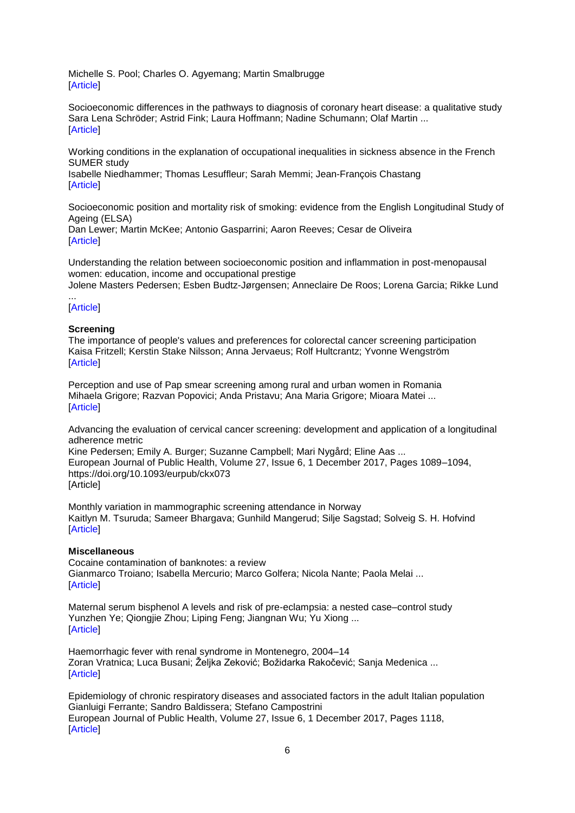[Michelle S. Pool;](https://academic.oup.com/eurpub/search-results?f_Authors=Michelle+S.+Pool) [Charles O. Agyemang;](https://academic.oup.com/eurpub/search-results?f_Authors=Charles+O.+Agyemang) [Martin Smalbrugge](https://academic.oup.com/eurpub/search-results?f_Authors=Martin+Smalbrugge) [\[Article\]](https://doi.org/10.1093/eurpub/ckx178)

[Socioeconomic differences in the pathways to diagnosis of coronary heart disease: a qualitative study](https://academic.oup.com/eurpub/article/27/6/1055/4583472) [Sara Lena Schröder;](https://academic.oup.com/eurpub/search-results?f_Authors=Sara+Lena+Schr%c3%b6der) [Astrid Fink;](https://academic.oup.com/eurpub/search-results?f_Authors=Astrid+Fink) [Laura Hoffmann;](https://academic.oup.com/eurpub/search-results?f_Authors=Laura+Hoffmann) [Nadine Schumann;](https://academic.oup.com/eurpub/search-results?f_Authors=Nadine+Schumann) [Olaf Martin](https://academic.oup.com/eurpub/search-results?f_Authors=Olaf+Martin) ... [\[Article\]](https://doi.org/10.1093/eurpub/ckx147)

[Working conditions in the explanation of occupational inequalities in sickness absence in the French](https://academic.oup.com/eurpub/article/27/6/1061/3854990)  [SUMER study](https://academic.oup.com/eurpub/article/27/6/1061/3854990)

[Isabelle Niedhammer;](https://academic.oup.com/eurpub/search-results?f_Authors=Isabelle+Niedhammer) [Thomas Lesuffleur;](https://academic.oup.com/eurpub/search-results?f_Authors=Thomas+Lesuffleur) [Sarah Memmi;](https://academic.oup.com/eurpub/search-results?f_Authors=Sarah+Memmi) [Jean-François Chastang](https://academic.oup.com/eurpub/search-results?f_Authors=Jean-Fran%c3%a7ois+Chastang) [\[Article\]](https://doi.org/10.1093/eurpub/ckx052)

[Socioeconomic position and mortality risk of smoking: evidence from the English Longitudinal Study of](https://academic.oup.com/eurpub/article/27/6/1068/3803431)  [Ageing \(ELSA\)](https://academic.oup.com/eurpub/article/27/6/1068/3803431)

[Dan Lewer;](https://academic.oup.com/eurpub/search-results?f_Authors=Dan+Lewer) [Martin McKee;](https://academic.oup.com/eurpub/search-results?f_Authors=Martin+McKee) [Antonio Gasparrini;](https://academic.oup.com/eurpub/search-results?f_Authors=Antonio+Gasparrini) [Aaron Reeves;](https://academic.oup.com/eurpub/search-results?f_Authors=Aaron+Reeves) [Cesar de Oliveira](https://academic.oup.com/eurpub/search-results?f_Authors=Cesar+de+Oliveira) [\[Article\]](https://doi.org/10.1093/eurpub/ckx059)

[Understanding the relation between socioeconomic position and inflammation in post-menopausal](https://academic.oup.com/eurpub/article/27/6/1074/3857721)  [women: education, income and occupational prestige](https://academic.oup.com/eurpub/article/27/6/1074/3857721) [Jolene Masters Pedersen;](https://academic.oup.com/eurpub/search-results?f_Authors=Jolene+Masters+Pedersen) [Esben Budtz-Jørgensen;](https://academic.oup.com/eurpub/search-results?f_Authors=Esben+Budtz-J%c3%b8rgensen) [Anneclaire De Roos;](https://academic.oup.com/eurpub/search-results?f_Authors=Anneclaire+De+Roos) [Lorena Garcia;](https://academic.oup.com/eurpub/search-results?f_Authors=Lorena+Garcia) [Rikke Lund](https://academic.oup.com/eurpub/search-results?f_Authors=Rikke+Lund)

#### ... [\[Article\]](https://doi.org/10.1093/eurpub/ckx070)

#### **Screening**

[The importance of people's values and preferences for colorectal cancer screening participation](https://academic.oup.com/eurpub/article/27/6/1079/2970086) [Kaisa Fritzell;](https://academic.oup.com/eurpub/search-results?f_Authors=Kaisa+Fritzell) [Kerstin Stake Nilsson;](https://academic.oup.com/eurpub/search-results?f_Authors=Kerstin+Stake+Nilsson) [Anna Jervaeus;](https://academic.oup.com/eurpub/search-results?f_Authors=Anna+Jervaeus) [Rolf Hultcrantz;](https://academic.oup.com/eurpub/search-results?f_Authors=Rolf+Hultcrantz) [Yvonne Wengström](https://academic.oup.com/eurpub/search-results?f_Authors=Yvonne+Wengstr%c3%b6m) [\[Article\]](https://doi.org/10.1093/eurpub/ckw266)

[Perception and use of Pap smear screening among rural and urban women in Romania](https://academic.oup.com/eurpub/article/27/6/1084/4065272) [Mihaela Grigore;](https://academic.oup.com/eurpub/search-results?f_Authors=Mihaela+Grigore) [Razvan Popovici;](https://academic.oup.com/eurpub/search-results?f_Authors=Razvan+Popovici) [Anda Pristavu;](https://academic.oup.com/eurpub/search-results?f_Authors=Anda+Pristavu) [Ana Maria Grigore;](https://academic.oup.com/eurpub/search-results?f_Authors=Ana+Maria+Grigore) [Mioara Matei](https://academic.oup.com/eurpub/search-results?f_Authors=Mioara+Matei) ... [\[Article\]](https://doi.org/10.1093/eurpub/ckx112)

[Advancing the evaluation of cervical cancer screening: development and application of a longitudinal](https://academic.oup.com/eurpub/article/27/6/1089/3860926)  [adherence metric](https://academic.oup.com/eurpub/article/27/6/1089/3860926)

[Kine Pedersen;](https://academic.oup.com/eurpub/search-results?f_Authors=Kine+Pedersen) [Emily A. Burger;](https://academic.oup.com/eurpub/search-results?f_Authors=Emily+A.+Burger) [Suzanne Campbell;](https://academic.oup.com/eurpub/search-results?f_Authors=Suzanne+Campbell) [Mari Nygård;](https://academic.oup.com/eurpub/search-results?f_Authors=Mari+Nyg%c3%a5rd) [Eline Aas](https://academic.oup.com/eurpub/search-results?f_Authors=Eline+Aas) ... European Journal of Public Health, Volume 27, Issue 6, 1 December 2017, Pages 1089–1094, <https://doi.org/10.1093/eurpub/ckx073> **[Article]** 

[Monthly variation in mammographic screening attendance in Norway](https://academic.oup.com/eurpub/article/27/6/1095/4317402) [Kaitlyn M. Tsuruda;](https://academic.oup.com/eurpub/search-results?f_Authors=Kaitlyn+M.+Tsuruda) [Sameer Bhargava;](https://academic.oup.com/eurpub/search-results?f_Authors=Sameer+Bhargava) [Gunhild Mangerud;](https://academic.oup.com/eurpub/search-results?f_Authors=Gunhild+Mangerud) [Silje Sagstad;](https://academic.oup.com/eurpub/search-results?f_Authors=Silje+Sagstad) [Solveig S. H. Hofvind](https://academic.oup.com/eurpub/search-results?f_Authors=Solveig+S.+H.+Hofvind) [\[Article\]](https://doi.org/10.1093/eurpub/ckx112)

#### **Miscellaneous**

[Cocaine contamination of banknotes: a review](https://academic.oup.com/eurpub/article/27/6/1097/3976036) [Gianmarco Troiano;](https://academic.oup.com/eurpub/search-results?f_Authors=Gianmarco+Troiano) [Isabella Mercurio;](https://academic.oup.com/eurpub/search-results?f_Authors=Isabella+Mercurio) [Marco Golfera;](https://academic.oup.com/eurpub/search-results?f_Authors=Marco+Golfera) [Nicola Nante;](https://academic.oup.com/eurpub/search-results?f_Authors=Nicola+Nante) [Paola Melai](https://academic.oup.com/eurpub/search-results?f_Authors=Paola+Melai) ... [\[Article\]](https://doi.org/10.1093/eurpub/ckx100)

[Maternal serum bisphenol A levels and risk of pre-eclampsia: a nested case–control study](https://academic.oup.com/eurpub/article/27/6/1102/4653120) [Yunzhen Ye;](https://academic.oup.com/eurpub/search-results?f_Authors=Yunzhen+Ye) [Qiongjie Zhou;](https://academic.oup.com/eurpub/search-results?f_Authors=Qiongjie+Zhou) [Liping Feng;](https://academic.oup.com/eurpub/search-results?f_Authors=Liping+Feng) [Jiangnan Wu;](https://academic.oup.com/eurpub/search-results?f_Authors=Jiangnan+Wu) [Yu Xiong](https://academic.oup.com/eurpub/search-results?f_Authors=Yu+Xiong) ... [\[Article\]](https://doi.org/10.1093/eurpub/ckx148)

[Haemorrhagic fever with renal syndrome in Montenegro, 2004–14](https://academic.oup.com/eurpub/article/27/6/1108/4372139) [Zoran Vratnica;](https://academic.oup.com/eurpub/search-results?f_Authors=Zoran+Vratnica) [Luca Busani;](https://academic.oup.com/eurpub/search-results?f_Authors=Luca+Busani) [Željka Zeković;](https://academic.oup.com/eurpub/search-results?f_Authors=%c5%bdeljka+Zekovi%c4%87) [Božidarka Rakočević;](https://academic.oup.com/eurpub/search-results?f_Authors=Bo%c5%beidarka+Rako%c4%8devi%c4%87) [Sanja Medenica](https://academic.oup.com/eurpub/search-results?f_Authors=Sanja+Medenica) ... [\[Article\]](https://doi.org/10.1093/eurpub/ckx149)

[Epidemiology of chronic respiratory diseases and associated factors in the adult Italian population](https://academic.oup.com/eurpub/article/27/6/1110/3979522) [Gianluigi Ferrante;](https://academic.oup.com/eurpub/search-results?f_Authors=Gianluigi+Ferrante) [Sandro Baldissera;](https://academic.oup.com/eurpub/search-results?f_Authors=Sandro+Baldissera) [Stefano Campostrini](https://academic.oup.com/eurpub/search-results?f_Authors=Stefano+Campostrini) European Journal of Public Health, Volume 27, Issue 6, 1 December 2017, Pages 1118, [\[Article\]](https://doi.org/10.1093/eurpub/ckx109)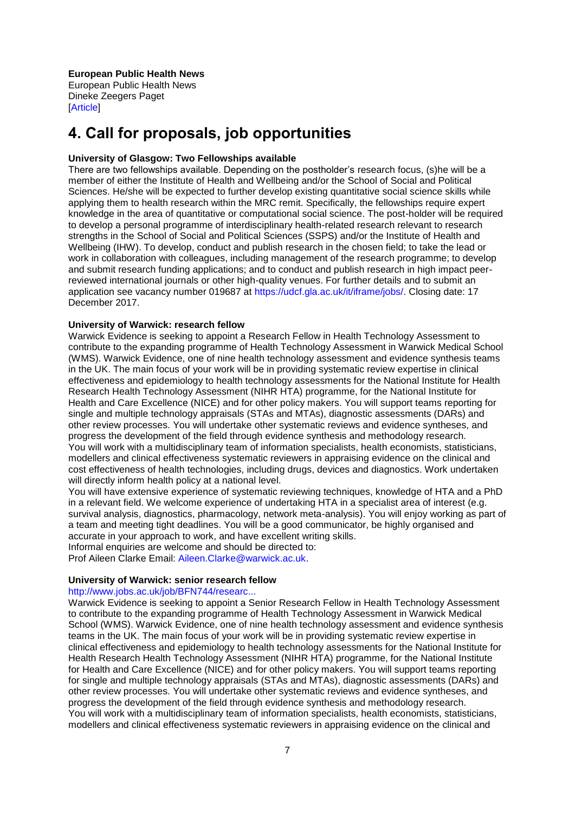#### **European Public Health News**

[European Public Health News](https://academic.oup.com/eurpub/article/27/6/1119/4653132) [Dineke Zeegers Paget](https://academic.oup.com/eurpub/search-results?f_Authors=Dineke+Zeegers+Paget) [\[Article\]](https://doi.org/10.1093/eurpub/ckx190)

# <span id="page-6-0"></span>**4. Call for proposals, job opportunities**

#### **University of Glasgow: Two Fellowships available**

There are two fellowships available. Depending on the postholder's research focus, (s)he will be a member of either the Institute of Health and Wellbeing and/or the School of Social and Political Sciences. He/she will be expected to further develop existing quantitative social science skills while applying them to health research within the MRC remit. Specifically, the fellowships require expert knowledge in the area of quantitative or computational social science. The post-holder will be required to develop a personal programme of interdisciplinary health-related research relevant to research strengths in the School of Social and Political Sciences (SSPS) and/or the Institute of Health and Wellbeing (IHW). To develop, conduct and publish research in the chosen field; to take the lead or work in collaboration with colleagues, including management of the research programme; to develop and submit research funding applications; and to conduct and publish research in high impact peerreviewed international journals or other high-quality venues. For further details and to submit an application see vacancy number 019687 at [https://udcf.gla.ac.uk/it/iframe/jobs/.](https://udcf.gla.ac.uk/it/iframe/jobs/) Closing date: 17 December 2017.

#### **University of Warwick: research fellow**

Warwick Evidence is seeking to appoint a Research Fellow in Health Technology Assessment to contribute to the expanding programme of Health Technology Assessment in Warwick Medical School (WMS). Warwick Evidence, one of nine health technology assessment and evidence synthesis teams in the UK. The main focus of your work will be in providing systematic review expertise in clinical effectiveness and epidemiology to health technology assessments for the National Institute for Health Research Health Technology Assessment (NIHR HTA) programme, for the National Institute for Health and Care Excellence (NICE) and for other policy makers. You will support teams reporting for single and multiple technology appraisals (STAs and MTAs), diagnostic assessments (DARs) and other review processes. You will undertake other systematic reviews and evidence syntheses, and progress the development of the field through evidence synthesis and methodology research. You will work with a multidisciplinary team of information specialists, health economists, statisticians, modellers and clinical effectiveness systematic reviewers in appraising evidence on the clinical and cost effectiveness of health technologies, including drugs, devices and diagnostics. Work undertaken will directly inform health policy at a national level.

You will have extensive experience of systematic reviewing techniques, knowledge of HTA and a PhD in a relevant field. We welcome experience of undertaking HTA in a specialist area of interest (e.g. survival analysis, diagnostics, pharmacology, network meta-analysis). You will enjoy working as part of a team and meeting tight deadlines. You will be a good communicator, be highly organised and accurate in your approach to work, and have excellent writing skills.

Informal enquiries are welcome and should be directed to:

Prof Aileen Clarke Email: [Aileen.Clarke@warwick.ac.uk.](mailto:Aileen.Clarke@warwick.ac.uk)

#### **University of Warwick: senior research fellow**

#### [http://www.jobs.ac.uk/job/BFN744/researc...](http://www.jobs.ac.uk/job/BFN744/research-fellow-79177-117/)

Warwick Evidence is seeking to appoint a Senior Research Fellow in Health Technology Assessment to contribute to the expanding programme of Health Technology Assessment in Warwick Medical School (WMS). Warwick Evidence, one of nine health technology assessment and evidence synthesis teams in the UK. The main focus of your work will be in providing systematic review expertise in clinical effectiveness and epidemiology to health technology assessments for the National Institute for Health Research Health Technology Assessment (NIHR HTA) programme, for the National Institute for Health and Care Excellence (NICE) and for other policy makers. You will support teams reporting for single and multiple technology appraisals (STAs and MTAs), diagnostic assessments (DARs) and other review processes. You will undertake other systematic reviews and evidence syntheses, and progress the development of the field through evidence synthesis and methodology research. You will work with a multidisciplinary team of information specialists, health economists, statisticians, modellers and clinical effectiveness systematic reviewers in appraising evidence on the clinical and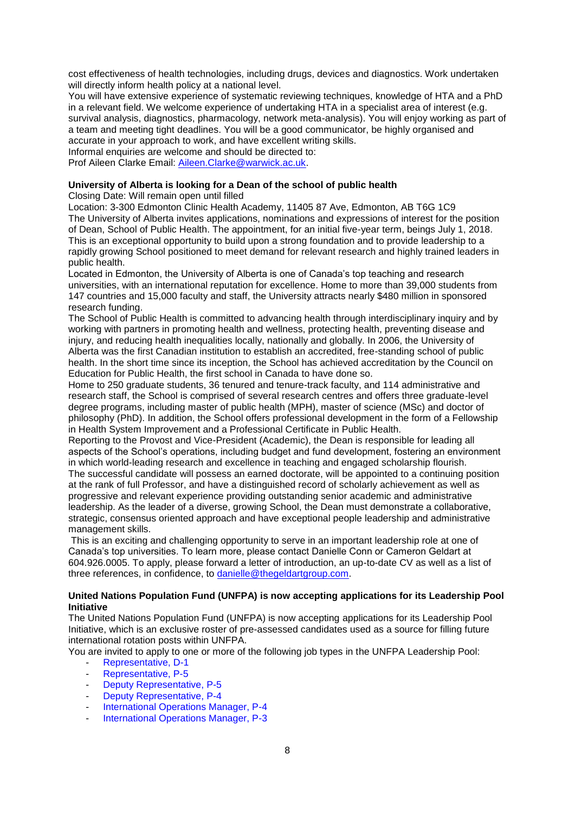cost effectiveness of health technologies, including drugs, devices and diagnostics. Work undertaken will directly inform health policy at a national level.

You will have extensive experience of systematic reviewing techniques, knowledge of HTA and a PhD in a relevant field. We welcome experience of undertaking HTA in a specialist area of interest (e.g. survival analysis, diagnostics, pharmacology, network meta-analysis). You will enjoy working as part of a team and meeting tight deadlines. You will be a good communicator, be highly organised and accurate in your approach to work, and have excellent writing skills.

Informal enquiries are welcome and should be directed to: Prof Aileen Clarke Email: [Aileen.Clarke@warwick.ac.uk.](mailto:Aileen.Clarke@warwick.ac.uk)

#### **University of Alberta is looking for a Dean of the school of public health**

Closing Date: Will remain open until filled

Location: 3-300 Edmonton Clinic Health Academy, 11405 87 Ave, Edmonton, AB T6G 1C9 The University of Alberta invites applications, nominations and expressions of interest for the position of Dean, School of Public Health. The appointment, for an initial five-year term, beings July 1, 2018. This is an exceptional opportunity to build upon a strong foundation and to provide leadership to a rapidly growing School positioned to meet demand for relevant research and highly trained leaders in public health.

Located in Edmonton, the University of Alberta is one of Canada's top teaching and research universities, with an international reputation for excellence. Home to more than 39,000 students from 147 countries and 15,000 faculty and staff, the University attracts nearly \$480 million in sponsored research funding.

The School of Public Health is committed to advancing health through interdisciplinary inquiry and by working with partners in promoting health and wellness, protecting health, preventing disease and injury, and reducing health inequalities locally, nationally and globally. In 2006, the University of Alberta was the first Canadian institution to establish an accredited, free-standing school of public health. In the short time since its inception, the School has achieved accreditation by the Council on Education for Public Health, the first school in Canada to have done so.

Home to 250 graduate students, 36 tenured and tenure-track faculty, and 114 administrative and research staff, the School is comprised of several research centres and offers three graduate-level degree programs, including master of public health (MPH), master of science (MSc) and doctor of philosophy (PhD). In addition, the School offers professional development in the form of a Fellowship in Health System Improvement and a Professional Certificate in Public Health.

Reporting to the Provost and Vice-President (Academic), the Dean is responsible for leading all aspects of the School's operations, including budget and fund development, fostering an environment in which world-leading research and excellence in teaching and engaged scholarship flourish.

The successful candidate will possess an earned doctorate, will be appointed to a continuing position at the rank of full Professor, and have a distinguished record of scholarly achievement as well as progressive and relevant experience providing outstanding senior academic and administrative leadership. As the leader of a diverse, growing School, the Dean must demonstrate a collaborative, strategic, consensus oriented approach and have exceptional people leadership and administrative management skills.

This is an exciting and challenging opportunity to serve in an important leadership role at one of Canada's top universities. To learn more, please contact Danielle Conn or Cameron Geldart at 604.926.0005. To apply, please forward a letter of introduction, an up-to-date CV as well as a list of three references, in confidence, to [danielle@thegeldartgroup.com.](mailto:danielle@thegeldartgroup.com)

#### **United Nations Population Fund (UNFPA) is now accepting applications for its Leadership Pool Initiative**

The United Nations Population Fund (UNFPA) is now accepting applications for its Leadership Pool Initiative, which is an exclusive roster of pre-assessed candidates used as a source for filling future international rotation posts within UNFPA.

You are invited to apply to one or more of the following job types in the UNFPA Leadership Pool:

- [Representative, D-1](https://erecruit.partneragencies.org/psc/UNDPP1HRE/EMPLOYEE/HRMS/c/HRS_HRAM.HRS_CE.GBL?Page=HRS_CE_JOB_DTLandAction=AandJobOpeningId=12874andSiteId=1andPostingSeq=1)
- [Representative, P-5](https://erecruit.partneragencies.org/psc/UNDPP1HRE/EMPLOYEE/HRMS/c/HRS_HRAM.HRS_CE.GBL?Page=HRS_CE_JOB_DTLandAction=AandJobOpeningId=12875andSiteId=1andPostingSeq=1)
- [Deputy Representative, P-5](https://erecruit.partneragencies.org/psc/UNDPP1HRE/EMPLOYEE/HRMS/c/HRS_HRAM.HRS_CE.GBL?Page=HRS_CE_JOB_DTLandAction=AandJobOpeningId=12876andSiteId=1andPostingSeq=1)
- [Deputy Representative, P-4](https://erecruit.partneragencies.org/psc/UNDPP1HRE/EMPLOYEE/HRMS/c/HRS_HRAM.HRS_CE.GBL?Page=HRS_CE_JOB_DTLandAction=AandJobOpeningId=12877andSiteId=1andPostingSeq=1)
- [International Operations Manager, P-4](https://erecruit.partneragencies.org/psc/UNDPP1HRE/EMPLOYEE/HRMS/c/HRS_HRAM.HRS_CE.GBL?Page=HRS_CE_JOB_DTLandAction=AandJobOpeningId=12878andSiteId=1andPostingSeq=1)
- [International Operations Manager, P-3](https://erecruit.partneragencies.org/psc/UNDPP1HRE/EMPLOYEE/HRMS/c/HRS_HRAM.HRS_CE.GBL?Page=HRS_CE_JOB_DTLandAction=AandJobOpeningId=12879andSiteId=1andPostingSeq=1)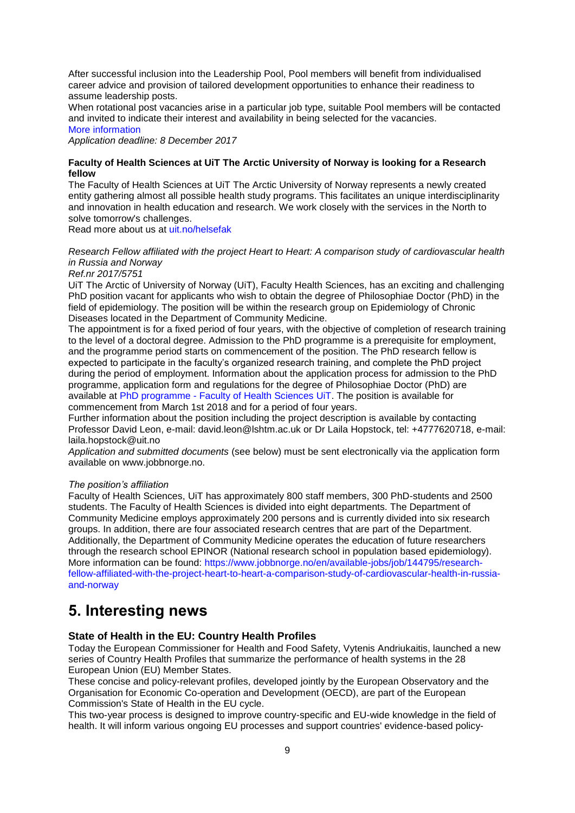After successful inclusion into the Leadership Pool, Pool members will benefit from individualised career advice and provision of tailored development opportunities to enhance their readiness to assume leadership posts.

When rotational post vacancies arise in a particular job type, suitable Pool members will be contacted and invited to indicate their interest and availability in being selected for the vacancies.

#### [More information](http://www.cinfo.ch/en/apply-now-unfpa-leadership-pool-initiative)

*Application deadline: 8 December 2017* 

#### **Faculty of Health Sciences at UiT The Arctic University of Norway is looking for a Research fellow**

The Faculty of Health Sciences at UiT The Arctic University of Norway represents a newly created entity gathering almost all possible health study programs. This facilitates an unique interdisciplinarity and innovation in health education and research. We work closely with the services in the North to solve tomorrow's challenges.

Read more about us at [uit.no/helsefak](https://en.uit.no/om/enhet/forsiden?p_dimension_id=88108www.uit.no/helsefak)

#### *Research Fellow affiliated with the project Heart to Heart: A comparison study of cardiovascular health in Russia and Norway*

*Ref.nr 2017/5751*

UiT The Arctic of University of Norway (UiT), Faculty Health Sciences, has an exciting and challenging PhD position vacant for applicants who wish to obtain the degree of Philosophiae Doctor (PhD) in the field of epidemiology. The position will be within the research group on Epidemiology of Chronic Diseases located in the Department of Community Medicine.

The appointment is for a fixed period of four years, with the objective of completion of research training to the level of a doctoral degree. Admission to the PhD programme is a prerequisite for employment, and the programme period starts on commencement of the position. The PhD research fellow is expected to participate in the faculty's organized research training, and complete the PhD project during the period of employment. Information about the application process for admission to the PhD programme, application form and regulations for the degree of Philosophiae Doctor (PhD) are available at PhD programme - [Faculty of Health Sciences UiT.](http://en.uit.no/ansatte/organisasjon/artikkel?p_document_id=169998andp_dimension_id=88108andp_menu=28713) The position is available for commencement from March 1st 2018 and for a period of four years.

Further information about the position including the project description is available by contacting Professor David Leon, e-mail: david.leon@lshtm.ac.uk or Dr Laila Hopstock, tel: +4777620718, e-mail: laila.hopstock@uit.no

*Application and submitted documents* (see below) must be sent electronically via the application form available on www.jobbnorge.no.

#### *The position's affiliation*

Faculty of Health Sciences, UiT has approximately 800 staff members, 300 PhD-students and 2500 students. The Faculty of Health Sciences is divided into eight departments. The Department of Community Medicine employs approximately 200 persons and is currently divided into six research groups. In addition, there are four associated research centres that are part of the Department. Additionally, the Department of Community Medicine operates the education of future researchers through the research school EPINOR (National research school in population based epidemiology). More information can be found: [https://www.jobbnorge.no/en/available-jobs/job/144795/research](http://euphapedia.eupha.org/newsletter/https:/www.jobbnorge.no/en/available-jobs/job/144795/research-fellow-affiliated-with-the-project-heart-to-heart-a-comparison-study-of-cardiovascular-health-in-russia-and-norway)[fellow-affiliated-with-the-project-heart-to-heart-a-comparison-study-of-cardiovascular-health-in-russia](http://euphapedia.eupha.org/newsletter/https:/www.jobbnorge.no/en/available-jobs/job/144795/research-fellow-affiliated-with-the-project-heart-to-heart-a-comparison-study-of-cardiovascular-health-in-russia-and-norway)[and-norway](http://euphapedia.eupha.org/newsletter/https:/www.jobbnorge.no/en/available-jobs/job/144795/research-fellow-affiliated-with-the-project-heart-to-heart-a-comparison-study-of-cardiovascular-health-in-russia-and-norway)

# <span id="page-8-0"></span>**5. Interesting news**

#### **State of Health in the EU: Country Health Profiles**

Today the European Commissioner for Health and Food Safety, Vytenis Andriukaitis, launched a new series of Country Health Profiles that summarize the performance of health systems in the 28 European Union (EU) Member States.

These concise and policy-relevant profiles, developed jointly by the European Observatory and the Organisation for Economic Co-operation and Development (OECD), are part of the European Commission's State of Health in the EU cycle.

This two-year process is designed to improve country-specific and EU-wide knowledge in the field of health. It will inform various ongoing EU processes and support countries' evidence-based policy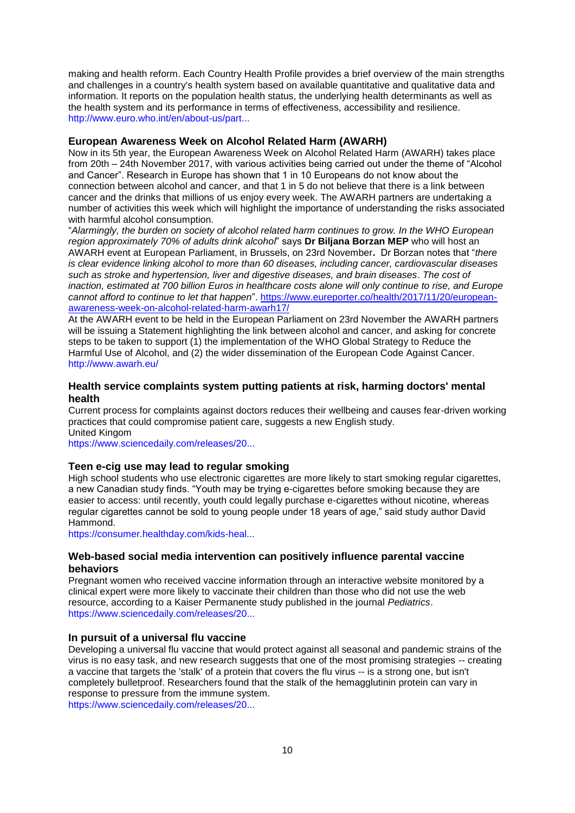making and health reform. Each Country Health Profile provides a brief overview of the main strengths and challenges in a country's health system based on available quantitative and qualitative data and information. It reports on the population health status, the underlying health determinants as well as the health system and its performance in terms of effectiveness, accessibility and resilience. [http://www.euro.who.int/en/about-us/part...](http://www.euro.who.int/en/about-us/partners/observatory/news/news/2017/11/state-of-health-in-the-eu-commission-launches-a-new-series-of-country-health-profiles?utm_source=WHO%2FEurope+mailing+list&ut)

#### **European Awareness Week on Alcohol Related Harm (AWARH)**

Now in its 5th year, the European Awareness Week on Alcohol Related Harm (AWARH) takes place from 20th – 24th November 2017, with various activities being carried out under the theme of "Alcohol" and Cancer". Research in Europe has shown that 1 in 10 Europeans do not know about the connection between alcohol and cancer, and that 1 in 5 do not believe that there is a link between cancer and the drinks that millions of us enjoy every week. The AWARH partners are undertaking a number of activities this week which will highlight the importance of understanding the risks associated with harmful alcohol consumption.

―*Alarmingly, the burden on society of alcohol related harm continues to grow. In the WHO European region approximately 70% of adults drink alcohol*‖ says **Dr Biljana Borzan MEP** who will host an AWARH event at European Parliament, in Brussels, on 23rd November**.** Dr Borzan notes that ―*there is clear evidence linking alcohol to more than 60 diseases, including cancer, cardiovascular diseases such as stroke and hypertension, liver and digestive diseases, and brain diseases*. *The cost of inaction, estimated at 700 billion Euros in healthcare costs alone will only continue to rise, and Europe cannot afford to continue to let that happen*‖. [https://www.eureporter.co/health/2017/11/20/european](https://www.eureporter.co/health/2017/11/20/european-awareness-week-on-alcohol-related-harm-awarh17/)[awareness-week-on-alcohol-related-harm-awarh17/](https://www.eureporter.co/health/2017/11/20/european-awareness-week-on-alcohol-related-harm-awarh17/)

At the AWARH event to be held in the European Parliament on 23rd November the AWARH partners will be issuing a Statement highlighting the link between alcohol and cancer, and asking for concrete steps to be taken to support (1) the implementation of the WHO Global Strategy to Reduce the Harmful Use of Alcohol, and (2) the wider dissemination of the European Code Against Cancer. <http://www.awarh.eu/>

#### **Health service complaints system putting patients at risk, harming doctors' mental health**

Current process for complaints against doctors reduces their wellbeing and causes fear-driven working practices that could compromise patient care, suggests a new English study. United Kingom

[https://www.sciencedaily.com/releases/20...](https://www.sciencedaily.com/releases/2017/11/171122110209.htm?utm_source=feedburner&utm_medium=email&utm_campaign=Feed%3A+sciencedaily%2Fscience_society%2Fpublic_health+%28Public+Health+News+--+Scien)

#### **Teen e-cig use may lead to regular smoking**

High school students who use electronic cigarettes are more likely to start smoking regular cigarettes, a new Canadian study finds. "Youth may be trying e-cigarettes before smoking because they are easier to access: until recently, youth could legally purchase e-cigarettes without nicotine, whereas regular cigarettes cannot be sold to young people under 18 years of age," said study author David Hammond.

[https://consumer.healthday.com/kids-heal...](https://consumer.healthday.com/kids-health-information-23/adolescents-and-teen-health-news-719/teen-e-cig-use-may-lead-to-regular-smoking-727868.html)

#### **Web-based social media intervention can positively influence parental vaccine behaviors**

Pregnant women who received vaccine information through an interactive website monitored by a clinical expert were more likely to vaccinate their children than those who did not use the web resource, according to a Kaiser Permanente study published in the journal *Pediatrics*. [https://www.sciencedaily.com/releases/20...](https://www.sciencedaily.com/releases/2017/11/171106100122.htm?utm_source=feedburner&utm_medium=email&utm_campaign=Feed%3A+sciencedaily%2Fscience_society%2Fpublic_health+%28Public+Health+News+--+Scien)

#### **In pursuit of a universal flu vaccine**

Developing a universal flu vaccine that would protect against all seasonal and pandemic strains of the virus is no easy task, and new research suggests that one of the most promising strategies -- creating a vaccine that targets the 'stalk' of a protein that covers the flu virus -- is a strong one, but isn't completely bulletproof. Researchers found that the stalk of the hemagglutinin protein can vary in response to pressure from the immune system.

[https://www.sciencedaily.com/releases/20...](https://www.sciencedaily.com/releases/2017/11/171103105718.htm?utm_source=feedburner&utm_medium=email&utm_campaign=Feed%3A+sciencedaily%2Fscience_society%2Fpublic_health+%28Public+Health+News+--+Scien)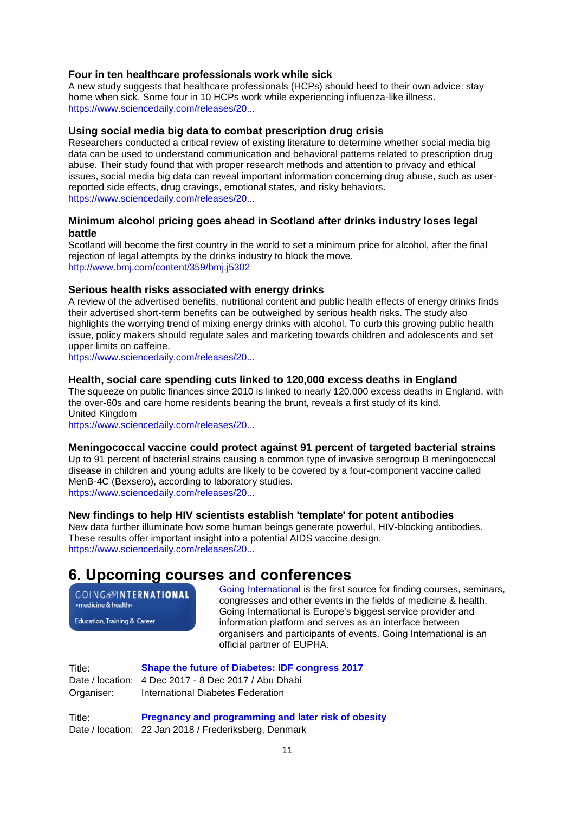## **Four in ten healthcare professionals work while sick**

A new study suggests that healthcare professionals (HCPs) should heed to their own advice: stay home when sick. Some four in 10 HCPs work while experiencing influenza-like illness. [https://www.sciencedaily.com/releases/20...](https://www.sciencedaily.com/releases/2017/11/171101130411.htm?utm_source=feedburner&utm_medium=email&utm_campaign=Feed%3A+sciencedaily%2Fscience_society%2Fpublic_health+%28Public+Health+News+--+Scien)

#### **Using social media big data to combat prescription drug crisis**

Researchers conducted a critical review of existing literature to determine whether social media big data can be used to understand communication and behavioral patterns related to prescription drug abuse. Their study found that with proper research methods and attention to privacy and ethical issues, social media big data can reveal important information concerning drug abuse, such as userreported side effects, drug cravings, emotional states, and risky behaviors. [https://www.sciencedaily.com/releases/20...](https://www.sciencedaily.com/releases/2017/11/171116163032.htm?utm_source=feedburner&utm_medium=email&utm_campaign=Feed%3A+sciencedaily%2Fscience_society%2Fpublic_health+%28Public+Health+News+--+Scien)

#### **Minimum alcohol pricing goes ahead in Scotland after drinks industry loses legal battle**

Scotland will become the first country in the world to set a minimum price for alcohol, after the final rejection of legal attempts by the drinks industry to block the move. [http://www.bmj.com/content/359/bmj.j5302](http://www.bmj.com/content/359/bmj.j5302?utm_medium=email&utm_campaign_name=201711328&utm_source=etoc_weekly)

#### **Serious health risks associated with energy drinks**

A review of the advertised benefits, nutritional content and public health effects of energy drinks finds their advertised short-term benefits can be outweighed by serious health risks. The study also highlights the worrying trend of mixing energy drinks with alcohol. To curb this growing public health issue, policy makers should regulate sales and marketing towards children and adolescents and set upper limits on caffeine.

[https://www.sciencedaily.com/releases/20...](https://www.sciencedaily.com/releases/2017/11/171115124519.htm?utm_source=feedburner&utm_medium=email&utm_campaign=Feed%3A+sciencedaily%2Fscience_society%2Fpublic_health+%28Public+Health+News+--+Scien)

#### **Health, social care spending cuts linked to 120,000 excess deaths in England**

The squeeze on public finances since 2010 is linked to nearly 120,000 excess deaths in England, with the over-60s and care home residents bearing the brunt, reveals a first study of its kind. United Kingdom

[https://www.sciencedaily.com/releases/20...](https://www.sciencedaily.com/releases/2017/11/171115195300.htm?utm_source=feedburner&utm_medium=email&utm_campaign=Feed%3A+sciencedaily%2Fscience_society%2Fpublic_health+%28Public+Health+News+--+Scien)

#### **Meningococcal vaccine could protect against 91 percent of targeted bacterial strains**

Up to 91 percent of bacterial strains causing a common type of invasive serogroup B meningococcal disease in children and young adults are likely to be covered by a four-component vaccine called MenB-4C (Bexsero), according to laboratory studies.

[https://www.sciencedaily.com/releases/20...](https://www.sciencedaily.com/releases/2017/11/171122131449.htm?utm_source=feedburner&utm_medium=email&utm_campaign=Feed%3A+sciencedaily%2Fscience_society%2Fpublic_health+%28Public+Health+News+--+Scien)

#### **New findings to help HIV scientists establish 'template' for potent antibodies**

New data further illuminate how some human beings generate powerful, HIV-blocking antibodies. These results offer important insight into a potential AIDS vaccine design. [https://www.sciencedaily.com/releases/20...](https://www.sciencedaily.com/releases/2017/11/171121121500.htm?utm_source=feedburner&utm_medium=email&utm_campaign=Feed%3A+sciencedaily%2Fscience_society%2Fpublic_health+%28Public+Health+News+--+Scien)

# <span id="page-10-0"></span>**6. Upcoming courses and conferences**

**GOING**@INTERNATIONAL »medicine & health«

Education, Training & Career

[Going International](http://www.goinginternational.eu/) is the first source for finding courses, seminars, congresses and other events in the fields of medicine & health. Going International is Europe's biggest service provider and information platform and serves as an interface between organisers and participants of events. Going International is an official partner of EUPHA.

Title: **[Shape the future of Diabetes: IDF congress 2017](http://www.idf.org/congress)** Date / location: 4 Dec 2017 - 8 Dec 2017 / Abu Dhabi Organiser: International Diabetes Federation

Title: **[Pregnancy and programming and later risk of obesity](https://phdcourses.ku.dk/DetailKursus.aspx?id=103746&sitepath=SUND)** Date / location: 22 Jan 2018 / Frederiksberg, Denmark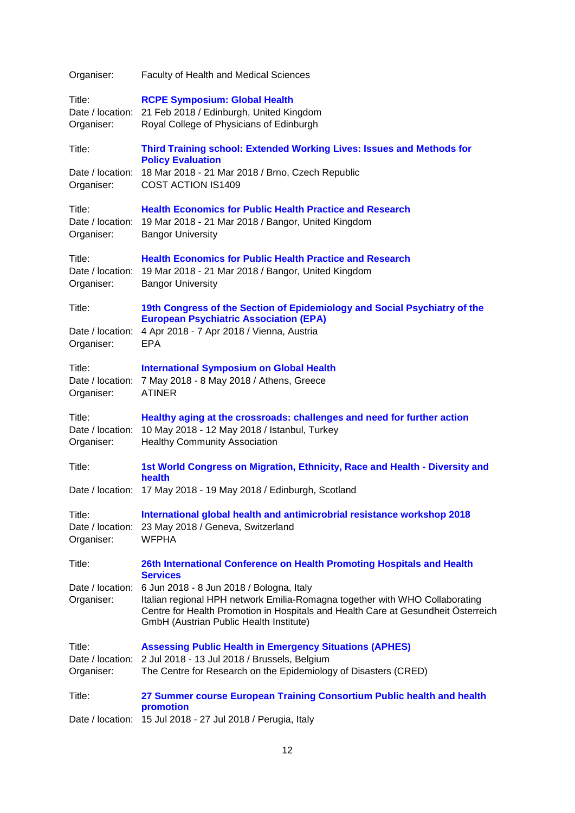| Organiser:                               | <b>Faculty of Health and Medical Sciences</b>                                                                                                                                                                                                           |
|------------------------------------------|---------------------------------------------------------------------------------------------------------------------------------------------------------------------------------------------------------------------------------------------------------|
| Title:<br>Organiser:                     | <b>RCPE Symposium: Global Health</b><br>Date / location: 21 Feb 2018 / Edinburgh, United Kingdom<br>Royal College of Physicians of Edinburgh                                                                                                            |
| Title:                                   | Third Training school: Extended Working Lives: Issues and Methods for                                                                                                                                                                                   |
| Date / location:<br>Organiser:           | <b>Policy Evaluation</b><br>18 Mar 2018 - 21 Mar 2018 / Brno, Czech Republic<br>COST ACTION IS1409                                                                                                                                                      |
| Title:<br>Organiser:                     | <b>Health Economics for Public Health Practice and Research</b><br>Date / location: 19 Mar 2018 - 21 Mar 2018 / Bangor, United Kingdom<br><b>Bangor University</b>                                                                                      |
| Title:<br>Date / location:<br>Organiser: | <b>Health Economics for Public Health Practice and Research</b><br>19 Mar 2018 - 21 Mar 2018 / Bangor, United Kingdom<br><b>Bangor University</b>                                                                                                       |
| Title:                                   | 19th Congress of the Section of Epidemiology and Social Psychiatry of the                                                                                                                                                                               |
| Date / location:<br>Organiser:           | <b>European Psychiatric Association (EPA)</b><br>4 Apr 2018 - 7 Apr 2018 / Vienna, Austria<br><b>EPA</b>                                                                                                                                                |
| Title:<br>Date / location:<br>Organiser: | <b>International Symposium on Global Health</b><br>7 May 2018 - 8 May 2018 / Athens, Greece<br><b>ATINER</b>                                                                                                                                            |
| Title:<br>Organiser:                     | Healthy aging at the crossroads: challenges and need for further action<br>Date / location: 10 May 2018 - 12 May 2018 / Istanbul, Turkey<br><b>Healthy Community Association</b>                                                                        |
| Title:                                   | 1st World Congress on Migration, Ethnicity, Race and Health - Diversity and<br>health                                                                                                                                                                   |
| Date / location:                         | 17 May 2018 - 19 May 2018 / Edinburgh, Scotland                                                                                                                                                                                                         |
| Title:<br>Date / location:<br>Organiser: | International global health and antimicrobrial resistance workshop 2018<br>23 May 2018 / Geneva, Switzerland<br><b>WFPHA</b>                                                                                                                            |
| Title:                                   | 26th International Conference on Health Promoting Hospitals and Health<br><b>Services</b>                                                                                                                                                               |
| Date / location:<br>Organiser:           | 6 Jun 2018 - 8 Jun 2018 / Bologna, Italy<br>Italian regional HPH network Emilia-Romagna together with WHO Collaborating<br>Centre for Health Promotion in Hospitals and Health Care at Gesundheit Österreich<br>GmbH (Austrian Public Health Institute) |
| Title:<br>Date / location:<br>Organiser: | <b>Assessing Public Health in Emergency Situations (APHES)</b><br>2 Jul 2018 - 13 Jul 2018 / Brussels, Belgium<br>The Centre for Research on the Epidemiology of Disasters (CRED)                                                                       |
| Title:                                   | 27 Summer course European Training Consortium Public health and health                                                                                                                                                                                  |
|                                          | promotion<br>Date / location: 15 Jul 2018 - 27 Jul 2018 / Perugia, Italy                                                                                                                                                                                |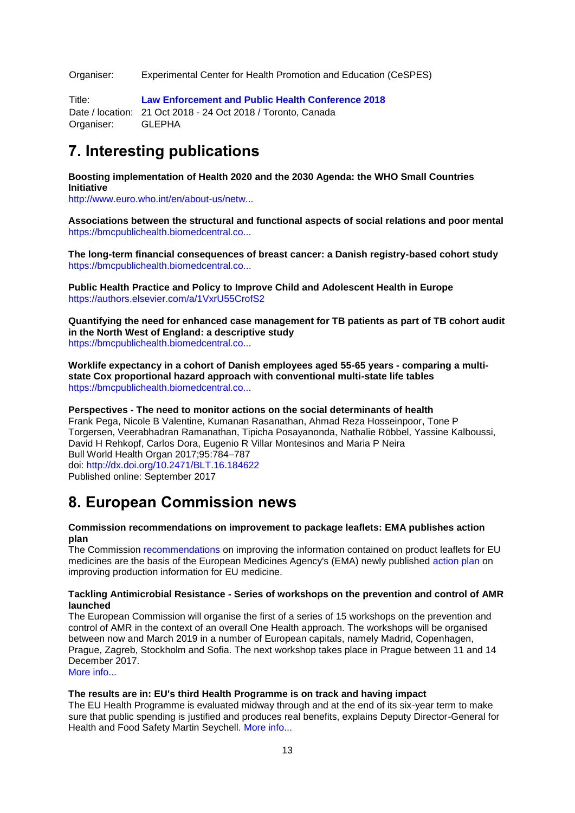Organiser: Experimental Center for Health Promotion and Education (CeSPES)

Title: **[Law Enforcement and Public Health Conference 2018](https://leph2018toronto.com/)** Date / location: 21 Oct 2018 - 24 Oct 2018 / Toronto, Canada Organiser: GLEPHA

# <span id="page-12-0"></span>**7. Interesting publications**

**Boosting implementation of Health 2020 and the 2030 Agenda: the WHO Small Countries Initiative**

[http://www.euro.who.int/en/about-us/netw...](http://www.euro.who.int/en/about-us/networks/small-countries-initiative/boosting-implementation-of-health-2020-and-the-2030-agenda-the-who-small-countries-initiative-2017)

**Associations between the structural and functional aspects of social relations and poor mental**  [https://bmcpublichealth.biomedcentral.co...](https://bmcpublichealth.biomedcentral.com/articles/10.1186/s12889-017-4871-x)

**The long-term financial consequences of breast cancer: a Danish registry-based cohort study** [https://bmcpublichealth.biomedcentral.co...](https://bmcpublichealth.biomedcentral.com/articles/10.1186/s12889-017-4839-x)

**Public Health Practice and Policy to Improve Child and Adolescent Health in Europe** [https://authors.elsevier.com/a/1VxrU55CrofS2](http://communications.elsevier.com/r/?id=h52daca91,27db63a1,27db7ca5andp1=authors.elsevier.com/a/1VxrU55CrofS2)

**Quantifying the need for enhanced case management for TB patients as part of TB cohort audit in the North West of England: a descriptive study** [https://bmcpublichealth.biomedcentral.co...](https://bmcpublichealth.biomedcentral.com/articles/10.1186/s12889-017-4892-5)

**Worklife expectancy in a cohort of Danish employees aged 55-65 years - comparing a multistate Cox proportional hazard approach with conventional multi-state life tables** [https://bmcpublichealth.biomedcentral.co...](https://bmcpublichealth.biomedcentral.com/articles/10.1186/s12889-017-4890-7)

**Perspectives - The need to monitor actions on the social determinants of health** Frank Pega, Nicole B Valentine, Kumanan Rasanathan, Ahmad Reza Hosseinpoor, Tone P Torgersen, Veerabhadran Ramanathan, Tipicha Posayanonda, Nathalie Röbbel, Yassine Kalboussi, David H Rehkopf, Carlos Dora, Eugenio R Villar Montesinos and Maria P Neira Bull World Health Organ 2017;95:784–787 doi:<http://dx.doi.org/10.2471/BLT.16.184622> Published online: September 2017

<span id="page-12-1"></span>**8. European Commission news**

#### **Commission recommendations on improvement to package leaflets: EMA publishes action plan**

The Commission [recommendations](http://ec.europa.eu/newsroom/sante/newsletter-specific-archive-issue.cfm?newsletter_service_id=327&newsletter_issue_id=5973&page=1&fullDate=Wed%2015%20Nov%202017&lang=default) on improving the information contained on product leaflets for EU medicines are the basis of the European Medicines Agency's (EMA) newly published [action plan](http://www.ema.europa.eu/ema/index.jsp?curl=pages/news_and_events/news/2017/11/news_detail_002853.jsp) on improving production information for EU medicine.

#### **Tackling Antimicrobial Resistance - Series of workshops on the prevention and control of AMR launched**

The European Commission will organise the first of a series of 15 workshops on the prevention and control of AMR in the context of an overall One Health approach. The workshops will be organised between now and March 2019 in a number of European capitals, namely Madrid, Copenhagen, Prague, Zagreb, Stockholm and Sofia. The next workshop takes place in Prague between 11 and 14 December 2017. [More info...](http://ec.europa.eu/newsroom/sante/newsletter-specific-archive-issue.cfm?newsletter_service_id=327&newsletter_issue_id=5927&page=1&fullDate=Mon%2013%20Nov%202017&lang=default)

## **The results are in: EU's third Health Programme is on track and having impact**

The EU Health Programme is evaluated midway through and at the end of its six-year term to make sure that public spending is justified and produces real benefits, explains Deputy Director-General for Health and Food Safety Martin Seychell. [More info...](https://ec.europa.eu/health/health-eu-newsletter-204-focus_en)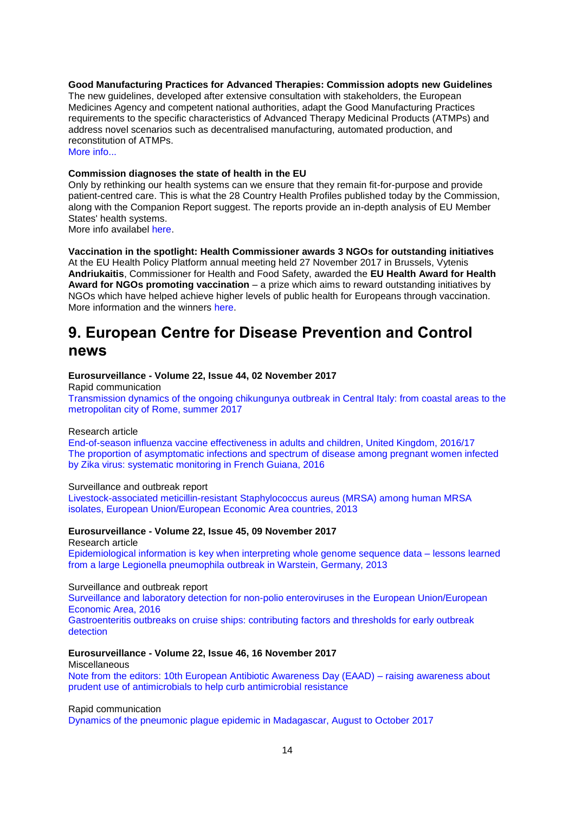**Good Manufacturing Practices for Advanced Therapies: Commission adopts new Guidelines** 

The new guidelines, developed after extensive consultation with stakeholders, the European Medicines Agency and competent national authorities, adapt the Good Manufacturing Practices requirements to the specific characteristics of Advanced Therapy Medicinal Products (ATMPs) and address novel scenarios such as decentralised manufacturing, automated production, and reconstitution of ATMPs. [More info...](http://ec.europa.eu/newsroom/sante/newsletter-specific-archive-issue.cfm?newsletter_service_id=327&newsletter_issue_id=6070)

# **Commission diagnoses the state of health in the EU**

Only by rethinking our health systems can we ensure that they remain fit-for-purpose and provide patient-centred care. This is what the 28 Country Health Profiles published today by the Commission, along with the Companion Report suggest. The reports provide an in-depth analysis of EU Member States' health systems.

More info availabel [here.](http://europa.eu/rapid/press-release_IP-17-4722_en.htm)

**Vaccination in the spotlight: Health Commissioner awards 3 NGOs for outstanding initiatives** At the EU Health Policy Platform annual meeting held 27 November 2017 in Brussels, Vytenis **Andriukaitis**, Commissioner for Health and Food Safety, awarded the **EU Health Award for Health Award for NGOs promoting vaccination** – a prize which aims to reward outstanding initiatives by NGOs which have helped achieve higher levels of public health for Europeans through vaccination. More information and the winners [here.](https://ec.europa.eu/health/ngo_award/home_en)

# <span id="page-13-0"></span>**9. European Centre for Disease Prevention and Control news**

#### **Eurosurveillance - Volume 22, Issue 44, 02 November 2017**

Rapid communication

[Transmission dynamics of the ongoing chikungunya outbreak in Central Italy: from coastal areas to the](http://www.eurosurveillance.org/content/10.2807/1560-7917.ES.2017.22.44.17-00685)  [metropolitan city of Rome, summer 2017](http://www.eurosurveillance.org/content/10.2807/1560-7917.ES.2017.22.44.17-00685)

#### Research article

[End-of-season influenza vaccine effectiveness in adults and children, United Kingdom, 2016/17](http://www.eurosurveillance.org/content/10.2807/1560-7917.ES.2017.22.44.17-00306) [The proportion of asymptomatic infections and spectrum of disease among pregnant women infected](http://www.eurosurveillance.org/content/10.2807/1560-7917.ES.2017.22.44.17-00102)  [by Zika virus: systematic monitoring in French Guiana, 2016](http://www.eurosurveillance.org/content/10.2807/1560-7917.ES.2017.22.44.17-00102)

#### Surveillance and outbreak report

[Livestock-associated meticillin-resistant Staphylococcus aureus \(MRSA\) among human MRSA](http://www.eurosurveillance.org/content/10.2807/1560-7917.ES.2017.22.44.16-00696)  [isolates, European Union/European Economic](http://www.eurosurveillance.org/content/10.2807/1560-7917.ES.2017.22.44.16-00696) Area countries, 2013

#### **Eurosurveillance - Volume 22, Issue 45, 09 November 2017**

Research article

[Epidemiological information is key when interpreting whole genome sequence data –](http://www.eurosurveillance.org/content/10.2807/1560-7917.ES.2017.22.45.17-00137) lessons learned [from a large Legionella pneumophila outbreak in Warstein, Germany, 2013](http://www.eurosurveillance.org/content/10.2807/1560-7917.ES.2017.22.45.17-00137)

#### Surveillance and outbreak report

[Surveillance and laboratory detection for non-polio enteroviruses in the European Union/European](http://www.eurosurveillance.org/content/10.2807/1560-7917.ES.2017.22.45.16-00807)  [Economic Area, 2016](http://www.eurosurveillance.org/content/10.2807/1560-7917.ES.2017.22.45.16-00807)

[Gastroenteritis outbreaks on cruise ships: contributing factors and thresholds for early outbreak](http://www.eurosurveillance.org/content/10.2807/1560-7917.ES.2017.22.45.16-00576)  [detection](http://www.eurosurveillance.org/content/10.2807/1560-7917.ES.2017.22.45.16-00576)

#### **Eurosurveillance - Volume 22, Issue 46, 16 November 2017**

**Miscellaneous** 

[Note from the editors: 10th European Antibiotic Awareness Day \(EAAD\) –](http://www.eurosurveillance.org/content/10.2807/1560-7917.ES.2017.22.46.171116-2) raising awareness about [prudent use of antimicrobials to help curb antimicrobial resistance](http://www.eurosurveillance.org/content/10.2807/1560-7917.ES.2017.22.46.171116-2)

Rapid communication

[Dynamics of the pneumonic plague epidemic in Madagascar, August to October 2017](http://www.eurosurveillance.org/content/10.2807/1560-7917.ES.2017.22.46.17-00710)